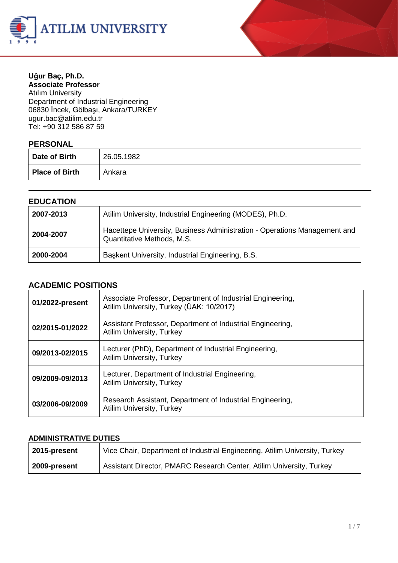



#### **Uğur Baç, Ph.D. Associate Professor**

Atılım University Department of Industrial Engineering 06830 İncek, Gölbaşı, Ankara/TURKEY ugur.ba[c@atilim.edu.tr](mailto:ulug@bilkent.edu.tr) Tel: +90 312 586 87 59

### **PERSONAL**

| $\blacksquare$        |            |
|-----------------------|------------|
| Date of Birth         | 26.05.1982 |
| <b>Place of Birth</b> | Ankara     |

#### **EDUCATION**

| 2007-2013 | Atilim University, Industrial Engineering (MODES), Ph.D.                                                |
|-----------|---------------------------------------------------------------------------------------------------------|
| 2004-2007 | Hacettepe University, Business Administration - Operations Management and<br>Quantitative Methods, M.S. |
| 2000-2004 | Başkent University, Industrial Engineering, B.S.                                                        |

### **ACADEMIC POSITIONS**

| 01/2022-present | Associate Professor, Department of Industrial Engineering,<br>Atilim University, Turkey (ÜAK: 10/2017) |
|-----------------|--------------------------------------------------------------------------------------------------------|
| 02/2015-01/2022 | Assistant Professor, Department of Industrial Engineering,<br><b>Atilim University, Turkey</b>         |
| 09/2013-02/2015 | Lecturer (PhD), Department of Industrial Engineering,<br><b>Atilim University, Turkey</b>              |
| 09/2009-09/2013 | Lecturer, Department of Industrial Engineering,<br><b>Atilim University, Turkey</b>                    |
| 03/2006-09/2009 | Research Assistant, Department of Industrial Engineering,<br><b>Atilim University, Turkey</b>          |

#### **ADMINISTRATIVE DUTIES**

| 2015-present | Vice Chair, Department of Industrial Engineering, Atilim University, Turkey |
|--------------|-----------------------------------------------------------------------------|
| 2009-present | Assistant Director, PMARC Research Center, Atilim University, Turkey        |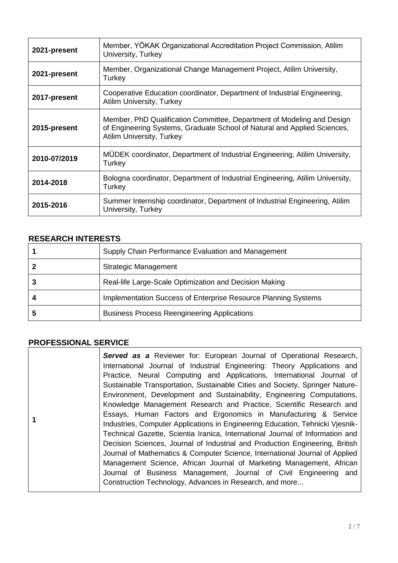| 2021-present | Member, YÖKAK Organizational Accreditation Project Commission, Atilim<br>University, Turkey                                                                                            |
|--------------|----------------------------------------------------------------------------------------------------------------------------------------------------------------------------------------|
| 2021-present | Member, Organizational Change Management Project, Atilim University,<br>Turkey                                                                                                         |
| 2017-present | Cooperative Education coordinator, Department of Industrial Engineering,<br><b>Atilim University, Turkey</b>                                                                           |
| 2015-present | Member, PhD Qualification Committee, Department of Modeling and Design<br>of Engineering Systems, Graduate School of Natural and Applied Sciences,<br><b>Atilim University, Turkey</b> |
| 2010-07/2019 | MÜDEK coordinator, Department of Industrial Engineering, Atilim University,<br>Turkey                                                                                                  |
| 2014-2018    | Bologna coordinator, Department of Industrial Engineering, Atilim University,<br>Turkey                                                                                                |
| 2015-2016    | Summer Internship coordinator, Department of Industrial Engineering, Atilim<br>University, Turkey                                                                                      |

### **RESEARCH INTERESTS**

| Supply Chain Performance Evaluation and Management             |
|----------------------------------------------------------------|
| <b>Strategic Management</b>                                    |
| Real-life Large-Scale Optimization and Decision Making         |
| Implementation Success of Enterprise Resource Planning Systems |
| <b>Business Process Reengineering Applications</b>             |

# **PROFESSIONAL SERVICE**

|  | <b>Served as a Reviewer for: European Journal of Operational Research,</b><br>International Journal of Industrial Engineering: Theory Applications and<br>Practice, Neural Computing and Applications, International Journal of<br>Sustainable Transportation, Sustainable Cities and Society, Springer Nature-<br>Environment, Development and Sustainability, Engineering Computations,<br>Knowledge Management Research and Practice, Scientific Research and<br>Essays, Human Factors and Ergonomics in Manufacturing & Service<br>Industries, Computer Applications in Engineering Education, Tehnicki Vjesnik-<br>Technical Gazette, Scientia Iranica, International Journal of Information and<br>Decision Sciences, Journal of Industrial and Production Engineering, British<br>Journal of Mathematics & Computer Science, International Journal of Applied<br>Management Science, African Journal of Marketing Management, African<br>Journal of Business Management, Journal of Civil Engineering and<br>Construction Technology, Advances in Research, and more |
|--|-----------------------------------------------------------------------------------------------------------------------------------------------------------------------------------------------------------------------------------------------------------------------------------------------------------------------------------------------------------------------------------------------------------------------------------------------------------------------------------------------------------------------------------------------------------------------------------------------------------------------------------------------------------------------------------------------------------------------------------------------------------------------------------------------------------------------------------------------------------------------------------------------------------------------------------------------------------------------------------------------------------------------------------------------------------------------------|
|--|-----------------------------------------------------------------------------------------------------------------------------------------------------------------------------------------------------------------------------------------------------------------------------------------------------------------------------------------------------------------------------------------------------------------------------------------------------------------------------------------------------------------------------------------------------------------------------------------------------------------------------------------------------------------------------------------------------------------------------------------------------------------------------------------------------------------------------------------------------------------------------------------------------------------------------------------------------------------------------------------------------------------------------------------------------------------------------|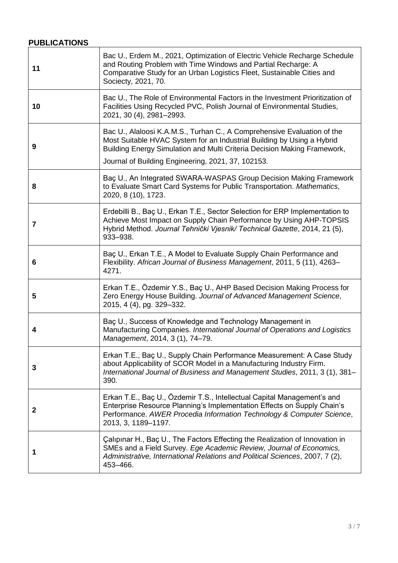# **PUBLICATIONS**

| 11           | Bac U., Erdem M., 2021, Optimization of Electric Vehicle Recharge Schedule<br>and Routing Problem with Time Windows and Partial Recharge: A<br>Comparative Study for an Urban Logistics Fleet, Sustainable Cities and<br>Sociecty, 2021, 70.                                        |
|--------------|-------------------------------------------------------------------------------------------------------------------------------------------------------------------------------------------------------------------------------------------------------------------------------------|
| 10           | Bac U., The Role of Environmental Factors in the Investment Prioritization of<br>Facilities Using Recycled PVC, Polish Journal of Environmental Studies,<br>2021, 30 (4), 2981-2993.                                                                                                |
| 9            | Bac U., Alaloosi K.A.M.S., Turhan C., A Comprehensive Evaluation of the<br>Most Suitable HVAC System for an Industrial Building by Using a Hybrid<br>Building Energy Simulation and Multi Criteria Decision Making Framework,<br>Journal of Building Engineering, 2021, 37, 102153. |
| 8            | Baç U., An Integrated SWARA-WASPAS Group Decision Making Framework<br>to Evaluate Smart Card Systems for Public Transportation. Mathematics,<br>2020, 8 (10), 1723.                                                                                                                 |
| 7            | Erdebilli B., Baç U., Erkan T.E., Sector Selection for ERP Implementation to<br>Achieve Most Impact on Supply Chain Performance by Using AHP-TOPSIS<br>Hybrid Method. Journal Tehnički Vjesnik/ Technical Gazette, 2014, 21 (5),<br>933-938.                                        |
| 6            | Baç U., Erkan T.E., A Model to Evaluate Supply Chain Performance and<br>Flexibility. African Journal of Business Management, 2011, 5 (11), 4263-<br>4271.                                                                                                                           |
| 5            | Erkan T.E., Özdemir Y.S., Baç U., AHP Based Decision Making Process for<br>Zero Energy House Building. Journal of Advanced Management Science,<br>2015, 4 (4), pg. 329-332.                                                                                                         |
| 4            | Baç U., Success of Knowledge and Technology Management in<br>Manufacturing Companies. International Journal of Operations and Logistics<br>Management, 2014, 3 (1), 74-79.                                                                                                          |
| 3            | Erkan T.E., Baç U., Supply Chain Performance Measurement: A Case Study<br>about Applicability of SCOR Model in a Manufacturing Industry Firm.<br>International Journal of Business and Management Studies, 2011, 3 (1), 381–<br>390.                                                |
| $\mathbf{2}$ | Erkan T.E., Baç U., Özdemir T.S., Intellectual Capital Management's and<br>Enterprise Resource Planning's Implementation Effects on Supply Chain's<br>Performance. AWER Procedia Information Technology & Computer Science,<br>2013, 3, 1189-1197.                                  |
| 1            | Calipinar H., Baç U., The Factors Effecting the Realization of Innovation in<br>SMEs and a Field Survey. Ege Academic Review, Journal of Economics,<br>Administrative, International Relations and Political Sciences, 2007, 7 (2),<br>453-466.                                     |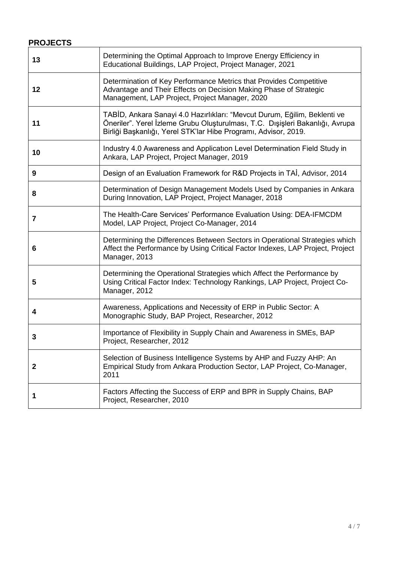## **PROJECTS**

| 13           | Determining the Optimal Approach to Improve Energy Efficiency in<br>Educational Buildings, LAP Project, Project Manager, 2021                                                                                                 |
|--------------|-------------------------------------------------------------------------------------------------------------------------------------------------------------------------------------------------------------------------------|
| 12           | Determination of Key Performance Metrics that Provides Competitive<br>Advantage and Their Effects on Decision Making Phase of Strategic<br>Management, LAP Project, Project Manager, 2020                                     |
| 11           | TABİD, Ankara Sanayi 4.0 Hazırlıkları: "Mevcut Durum, Eğilim, Beklenti ve<br>Öneriler". Yerel İzleme Grubu Oluşturulması, T.C. Dışişleri Bakanlığı, Avrupa<br>Birliği Başkanlığı, Yerel STK'lar Hibe Programı, Advisor, 2019. |
| 10           | Industry 4.0 Awareness and Application Level Determination Field Study in<br>Ankara, LAP Project, Project Manager, 2019                                                                                                       |
| 9            | Design of an Evaluation Framework for R&D Projects in TAI, Advisor, 2014                                                                                                                                                      |
| 8            | Determination of Design Management Models Used by Companies in Ankara<br>During Innovation, LAP Project, Project Manager, 2018                                                                                                |
| 7            | The Health-Care Services' Performance Evaluation Using: DEA-IFMCDM<br>Model, LAP Project, Project Co-Manager, 2014                                                                                                            |
| 6            | Determining the Differences Between Sectors in Operational Strategies which<br>Affect the Performance by Using Critical Factor Indexes, LAP Project, Project<br>Manager, 2013                                                 |
| 5            | Determining the Operational Strategies which Affect the Performance by<br>Using Critical Factor Index: Technology Rankings, LAP Project, Project Co-<br>Manager, 2012                                                         |
| 4            | Awareness, Applications and Necessity of ERP in Public Sector: A<br>Monographic Study, BAP Project, Researcher, 2012                                                                                                          |
| 3            | Importance of Flexibility in Supply Chain and Awareness in SMEs, BAP<br>Project, Researcher, 2012                                                                                                                             |
| $\mathbf{2}$ | Selection of Business Intelligence Systems by AHP and Fuzzy AHP: An<br>Empirical Study from Ankara Production Sector, LAP Project, Co-Manager,<br>2011                                                                        |
|              | Factors Affecting the Success of ERP and BPR in Supply Chains, BAP<br>Project, Researcher, 2010                                                                                                                               |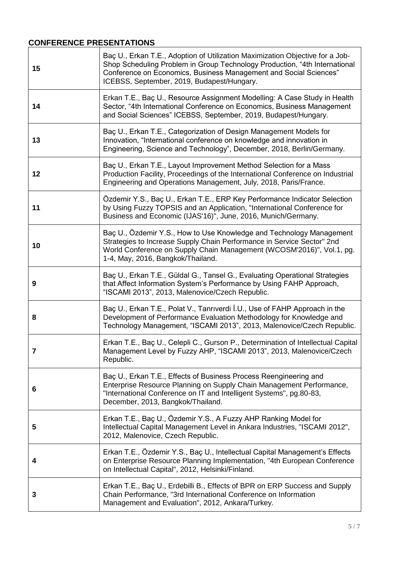# **CONFERENCE PRESENTATIONS**

| 15 | Baç U., Erkan T.E., Adoption of Utilization Maximization Objective for a Job-<br>Shop Scheduling Problem in Group Technology Production, "4th International<br>Conference on Economics, Business Management and Social Sciences"<br>ICEBSS, September, 2019, Budapest/Hungary. |
|----|--------------------------------------------------------------------------------------------------------------------------------------------------------------------------------------------------------------------------------------------------------------------------------|
| 14 | Erkan T.E., Baç U., Resource Assignment Modelling: A Case Study in Health<br>Sector, "4th International Conference on Economics, Business Management<br>and Social Sciences" ICEBSS, September, 2019, Budapest/Hungary.                                                        |
| 13 | Baç U., Erkan T.E., Categorization of Design Management Models for<br>Innovation, "International conference on knowledge and innovation in<br>Engineering, Science and Technology", December, 2018, Berlin/Germany.                                                            |
| 12 | Baç U., Erkan T.E., Layout Improvement Method Selection for a Mass<br>Production Facility, Proceedings of the International Conference on Industrial<br>Engineering and Operations Management, July, 2018, Paris/France.                                                       |
| 11 | Özdemir Y.S., Baç U., Erkan T.E., ERP Key Performance Indicator Selection<br>by Using Fuzzy TOPSIS and an Application, "International Conference for<br>Business and Economic (IJAS'16)", June, 2016, Munich/Germany.                                                          |
| 10 | Bac U., Özdemir Y.S., How to Use Knowledge and Technology Management<br>Strategies to Increase Supply Chain Performance in Service Sector" 2nd<br>World Conference on Supply Chain Management (WCOSM'2016)", Vol.1, pg.<br>1-4, May, 2016, Bangkok/Thailand.                   |
| 9  | Baç U., Erkan T.E., Güldal G., Tansel G., Evaluating Operational Strategies<br>that Affect Information System's Performance by Using FAHP Approach,<br>"ISCAMI 2013", 2013, Malenovice/Czech Republic.                                                                         |
| 8  | Baç U., Erkan T.E., Polat V., Tanriverdi İ.U., Use of FAHP Approach in the<br>Development of Performance Evaluation Methodology for Knowledge and<br>Technology Management, "ISCAMI 2013", 2013, Malenovice/Czech Republic.                                                    |
|    | Erkan T.E., Baç U., Celepli C., Gurson P., Determination of Intellectual Capital<br>Management Level by Fuzzy AHP, "ISCAMI 2013", 2013, Malenovice/Czech<br>Republic.                                                                                                          |
| 6  | Baç U., Erkan T.E., Effects of Business Process Reengineering and<br>Enterprise Resource Planning on Supply Chain Management Performance,<br>"International Conference on IT and Intelligent Systems", pg.80-83,<br>December, 2013, Bangkok/Thailand.                          |
| 5  | Erkan T.E., Baç U., Özdemir Y.S., A Fuzzy AHP Ranking Model for<br>Intellectual Capital Management Level in Ankara Industries, "ISCAMI 2012",<br>2012, Malenovice, Czech Republic.                                                                                             |
| 4  | Erkan T.E., Özdemir Y.S., Baç U., Intellectual Capital Management's Effects<br>on Enterprise Resource Planning Implementation, "4th European Conference<br>on Intellectual Capital", 2012, Helsinki/Finland.                                                                   |
| 3  | Erkan T.E., Baç U., Erdebilli B., Effects of BPR on ERP Success and Supply<br>Chain Performance, "3rd International Conference on Information<br>Management and Evaluation", 2012, Ankara/Turkey.                                                                              |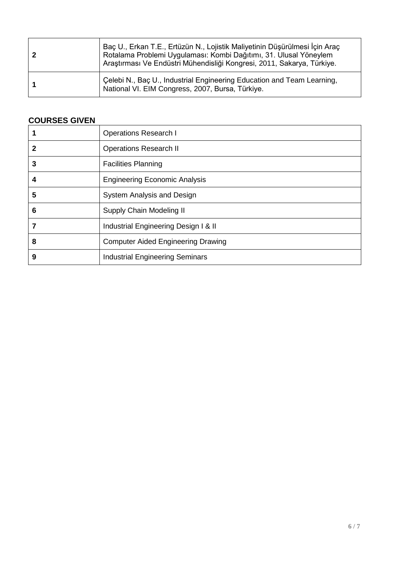| Baç U., Erkan T.E., Ertüzün N., Lojistik Maliyetinin Düşürülmesi İçin Araç<br>Rotalama Problemi Uygulaması: Kombi Dağıtımı, 31. Ulusal Yöneylem<br>Araştırması Ve Endüstri Mühendisliği Kongresi, 2011, Sakarya, Türkiye. |
|---------------------------------------------------------------------------------------------------------------------------------------------------------------------------------------------------------------------------|
| Celebi N., Baç U., Industrial Engineering Education and Team Learning,<br>National VI. EIM Congress, 2007, Bursa, Türkiye.                                                                                                |

### **COURSES GIVEN**

|              | <b>Operations Research I</b>              |
|--------------|-------------------------------------------|
| $\mathbf{2}$ | <b>Operations Research II</b>             |
| 3            | <b>Facilities Planning</b>                |
| 4            | <b>Engineering Economic Analysis</b>      |
| 5            | System Analysis and Design                |
| 6            | Supply Chain Modeling II                  |
| 7            | Industrial Engineering Design I & II      |
| 8            | <b>Computer Aided Engineering Drawing</b> |
| 9            | <b>Industrial Engineering Seminars</b>    |